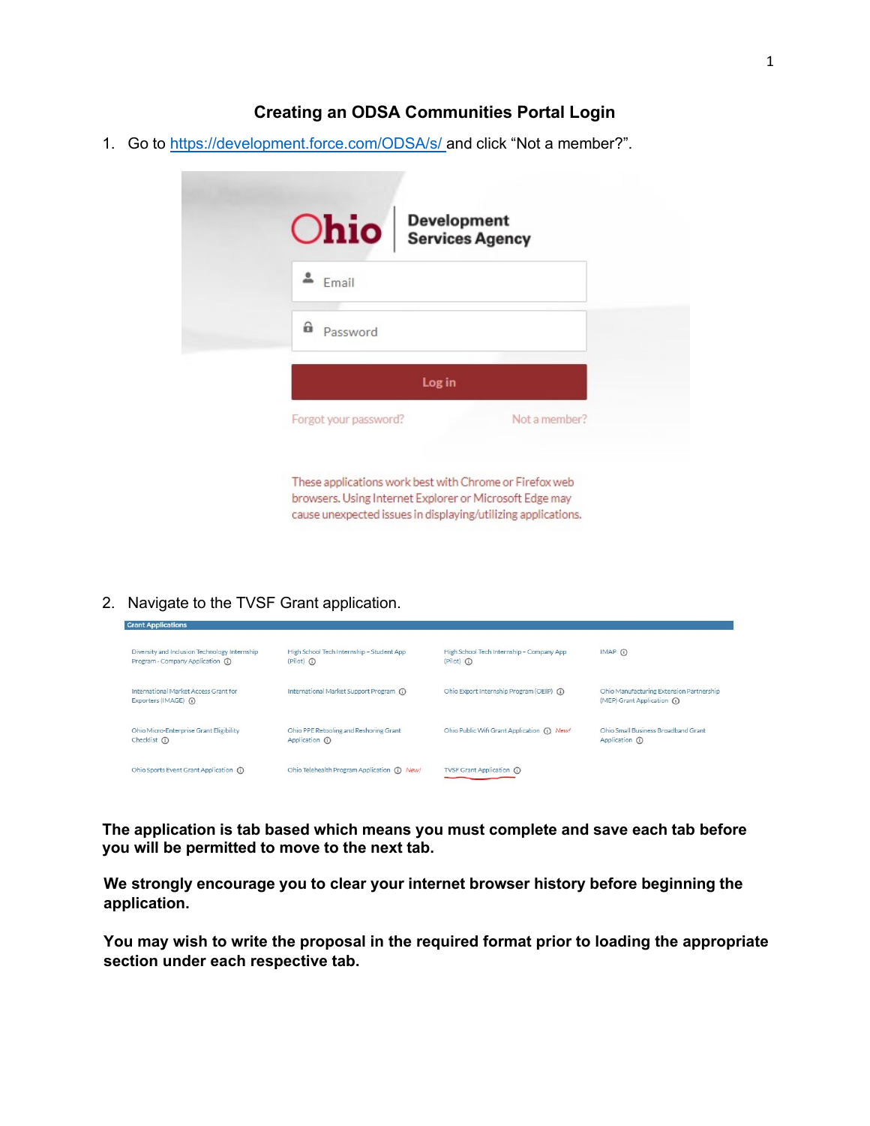## **Creating an ODSA Communities Portal Login**

1. Go to <https://development.force.com/>ODSA/s/ and click "Not a member?".

| <b>Chio</b> Bevelopment |               |
|-------------------------|---------------|
| Email                   |               |
| â<br>Password           |               |
| Log in                  |               |
| Forgot your password?   | Not a member? |

browsers. Using Internet Explorer or Microsoft Edge may cause unexpected issues in displaying/utilizing applications.

2. Navigate to the TVSF Grant application.

**Grant Applications** 

| Diversity and Inclusion Technology Internship                  | High School Tech Internship - Student App    | High School Tech Internship - Company App   | $IMAP$ $(i)$                                                            |
|----------------------------------------------------------------|----------------------------------------------|---------------------------------------------|-------------------------------------------------------------------------|
| Program - Company Application (1)                              | $(Pilot)$ (i)                                | $(Plot)$ $\odot$                            |                                                                         |
| International Market Access Grant for<br>Exporters (IMAGE) (i) | International Market Support Program (1)     | Ohio Export Internship Program (OEIP) (1)   | Ohio Manufacturing Extension Partnership<br>(MEP) Grant Application (1) |
| Ohio Micro-Enterprise Grant Eligibility                        | Ohio PPE Retooling and Reshoring Grant       | Ohio Public Wifi Grant Application (i) New! | Ohio Small Business Broadband Grant                                     |
| Checklist (i)                                                  | Application (i)                              |                                             | Application (i)                                                         |
| Ohio Sports Event Grant Application (i)                        | Ohio Telehealth Program Application (1) New! | TVSF Grant Application (i)                  |                                                                         |

**The application is tab based which means you must complete and save each tab before you will be permitted to move to the next tab.**

**We strongly encourage you to clear your internet browser history before beginning the application.**

**You may wish to write the proposal in the required format prior to loading the appropriate section under each respective tab.**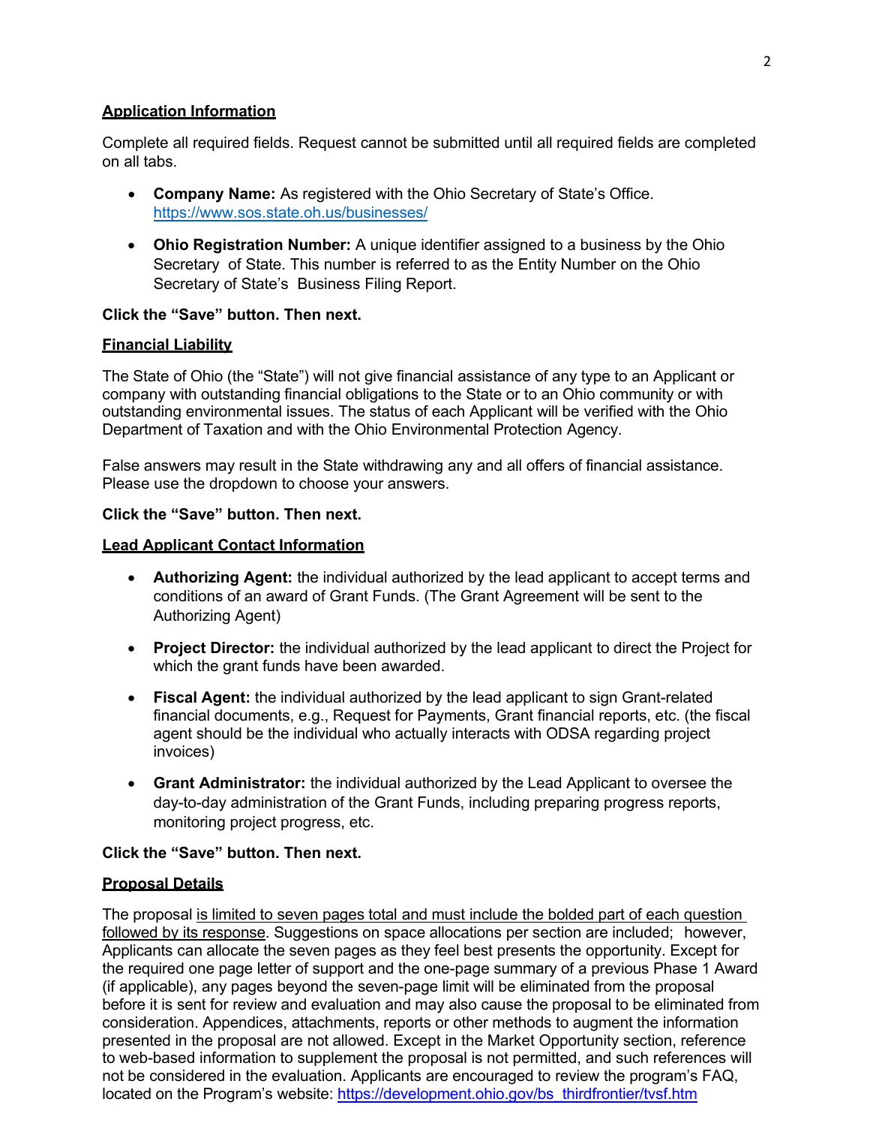## **Application Information**

Complete all required fields. Request cannot be submitted until all required fields are completed on all tabs.

- **Company Name:** As registered with the Ohio Secretary of State's Office. <https://www.sos.state.oh.us/businesses/>
- **Ohio Registration Number:** A unique identifier assigned to a business by the Ohio Secretary of State. This number is referred to as the Entity Number on the Ohio Secretary of State's Business Filing Report.

# **Click the "Save" button. Then next.**

# **Financial Liability**

The State of Ohio (the "State") will not give financial assistance of any type to an Applicant or company with outstanding financial obligations to the State or to an Ohio community or with outstanding environmental issues. The status of each Applicant will be verified with the Ohio Department of Taxation and with the Ohio Environmental Protection Agency.

False answers may result in the State withdrawing any and all offers of financial assistance. Please use the dropdown to choose your answers.

## **Click the "Save" button. Then next.**

## **Lead Applicant Contact Information**

- **Authorizing Agent:** the individual authorized by the lead applicant to accept terms and conditions of an award of Grant Funds. (The Grant Agreement will be sent to the Authorizing Agent)
- **Project Director:** the individual authorized by the lead applicant to direct the Project for which the grant funds have been awarded.
- **Fiscal Agent:** the individual authorized by the lead applicant to sign Grant-related financial documents, e.g., Request for Payments, Grant financial reports, etc. (the fiscal agent should be the individual who actually interacts with ODSA regarding project invoices)
- **Grant Administrator:** the individual authorized by the Lead Applicant to oversee the day-to-day administration of the Grant Funds, including preparing progress reports, monitoring project progress, etc.

# **Click the "Save" button. Then next.**

### **Proposal Details**

The proposal is limited to seven pages total and must include the bolded part of each question followed by its response. Suggestions on space allocations per section are included; however, Applicants can allocate the seven pages as they feel best presents the opportunity. Except for the required one page letter of support and the one-page summary of a previous Phase 1 Award (if applicable), any pages beyond the seven-page limit will be eliminated from the proposal before it is sent for review and evaluation and may also cause the proposal to be eliminated from consideration. Appendices, attachments, reports or other methods to augment the information presented in the proposal are not allowed. Except in the Market Opportunity section, reference to web-based information to supplement the proposal is not permitted, and such references will not be considered in the evaluation. Applicants are encouraged to review the program's FAQ, located on the Program's website: [https://development.ohio.gov/bs\\_thirdfrontier/tvsf.htm](https://development.ohio.gov/bs_thirdfrontier/tvsf.htm)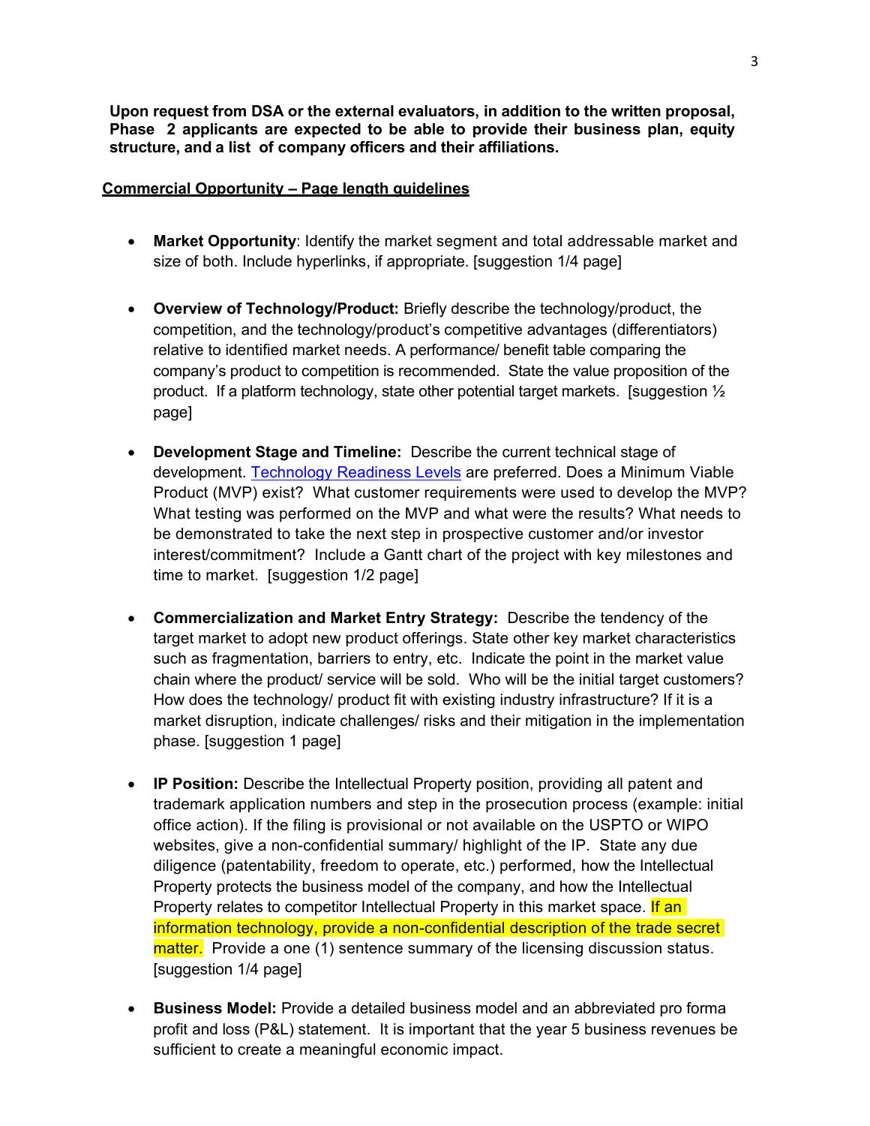**Upon request from DSA or the external evaluators, in addition to the written proposal, Phase 2 applicants are expected to be able to provide their business plan, equity structure, and a list of company officers and their affiliations.**

## **Commercial Opportunity – Page length guidelines**

- **Market Opportunity**: Identify the market segment and total addressable market and size of both. Include hyperlinks, if appropriate. [suggestion 1/4 page]
- **Overview of Technology/Product:** Briefly describe the technology/product, the competition, and the technology/product's competitive advantages (differentiators) relative to identified market needs. A performance/ benefit table comparing the company's product to competition is recommended. State the value proposition of the product. If a platform technology, state other potential target markets. [suggestion  $\frac{1}{2}$ page]
- **Development Stage and Timeline:** Describe the current technical stage of development. [Technology Readiness Levels](https://www.army.mil/e2/c/downloads/404585.pdf) are preferred. Does a Minimum Viable Product (MVP) exist? What customer requirements were used to develop the MVP? What testing was performed on the MVP and what were the results? What needs to be demonstrated to take the next step in prospective customer and/or investor interest/commitment? Include a Gantt chart of the project with key milestones and time to market. [suggestion 1/2 page]
- **Commercialization and Market Entry Strategy:** Describe the tendency of the target market to adopt new product offerings. State other key market characteristics such as fragmentation, barriers to entry, etc. Indicate the point in the market value chain where the product/ service will be sold. Who will be the initial target customers? How does the technology/ product fit with existing industry infrastructure? If it is a market disruption, indicate challenges/ risks and their mitigation in the implementation phase. [suggestion 1 page]
- **IP Position:** Describe the Intellectual Property position, providing all patent and trademark application numbers and step in the prosecution process (example: initial office action). If the filing is provisional or not available on the USPTO or WIPO websites, give a non-confidential summary/ highlight of the IP. State any due diligence (patentability, freedom to operate, etc.) performed, how the Intellectual Property protects the business model of the company, and how the Intellectual Property relates to competitor Intellectual Property in this market space. If an information technology, provide a non-confidential description of the trade secret matter. Provide a one (1) sentence summary of the licensing discussion status. [suggestion 1/4 page]
- **Business Model:** Provide a detailed business model and an abbreviated pro forma profit and loss (P&L) statement. It is important that the year 5 business revenues be sufficient to create a meaningful economic impact.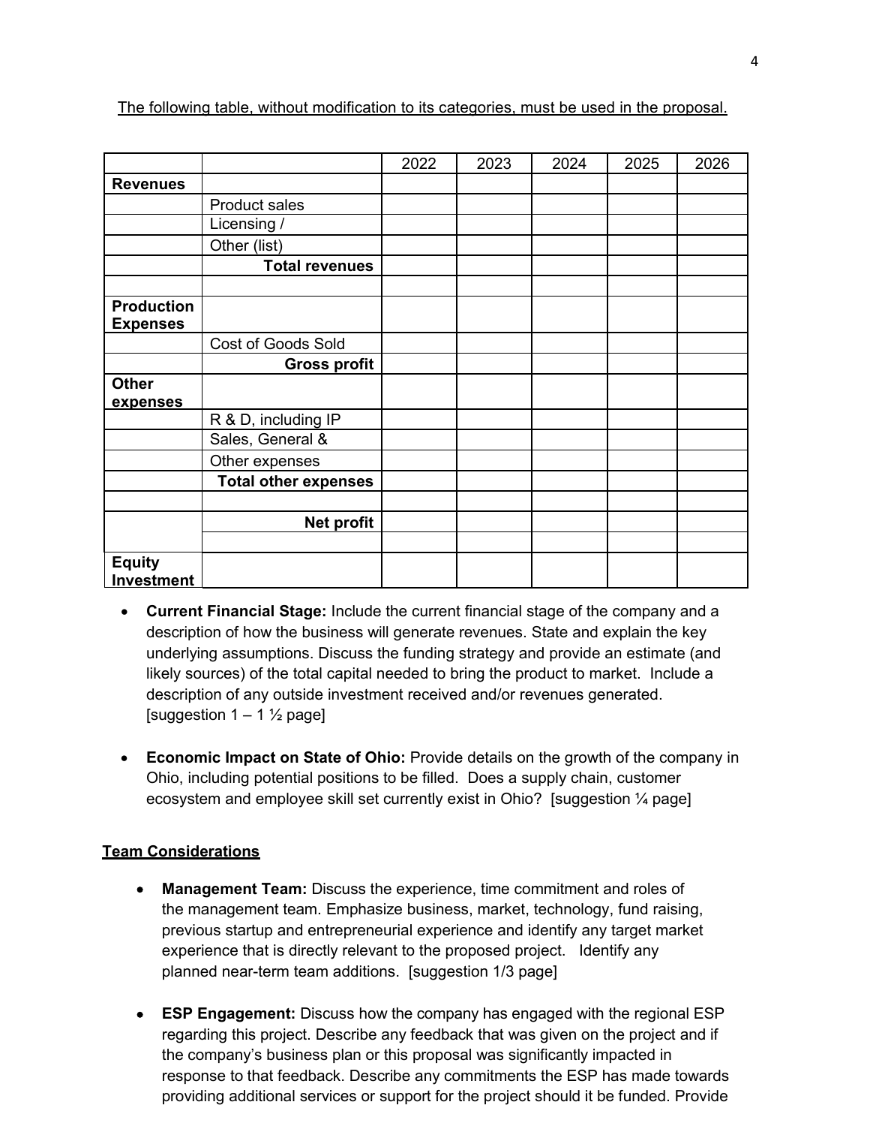|                                      |                             | 2022 | 2023 | 2024 | 2025 | 2026 |
|--------------------------------------|-----------------------------|------|------|------|------|------|
| <b>Revenues</b>                      |                             |      |      |      |      |      |
|                                      | Product sales               |      |      |      |      |      |
|                                      | Licensing /                 |      |      |      |      |      |
|                                      | Other (list)                |      |      |      |      |      |
|                                      | <b>Total revenues</b>       |      |      |      |      |      |
|                                      |                             |      |      |      |      |      |
| <b>Production</b><br><b>Expenses</b> |                             |      |      |      |      |      |
|                                      | Cost of Goods Sold          |      |      |      |      |      |
|                                      | <b>Gross profit</b>         |      |      |      |      |      |
| <b>Other</b>                         |                             |      |      |      |      |      |
| expenses                             |                             |      |      |      |      |      |
|                                      | R & D, including IP         |      |      |      |      |      |
|                                      | Sales, General &            |      |      |      |      |      |
|                                      | Other expenses              |      |      |      |      |      |
|                                      | <b>Total other expenses</b> |      |      |      |      |      |
|                                      |                             |      |      |      |      |      |
|                                      | Net profit                  |      |      |      |      |      |
|                                      |                             |      |      |      |      |      |
| <b>Equity</b><br>Investment          |                             |      |      |      |      |      |

The following table, without modification to its categories, must be used in the proposal.

- **Current Financial Stage:** Include the current financial stage of the company and a description of how the business will generate revenues. State and explain the key underlying assumptions. Discuss the funding strategy and provide an estimate (and likely sources) of the total capital needed to bring the product to market. Include a description of any outside investment received and/or revenues generated. [suggestion  $1 - 1 \frac{1}{2}$  page]
- **Economic Impact on State of Ohio:** Provide details on the growth of the company in Ohio, including potential positions to be filled. Does a supply chain, customer ecosystem and employee skill set currently exist in Ohio? [suggestion ¼ page]

### **Team Considerations**

- **Management Team:** Discuss the experience, time commitment and roles of the management team. Emphasize business, market, technology, fund raising, previous startup and entrepreneurial experience and identify any target market experience that is directly relevant to the proposed project. Identify any planned near-term team additions. [suggestion 1/3 page]
- **ESP Engagement:** Discuss how the company has engaged with the regional ESP regarding this project. Describe any feedback that was given on the project and if the company's business plan or this proposal was significantly impacted in response to that feedback. Describe any commitments the ESP has made towards providing additional services or support for the project should it be funded. Provide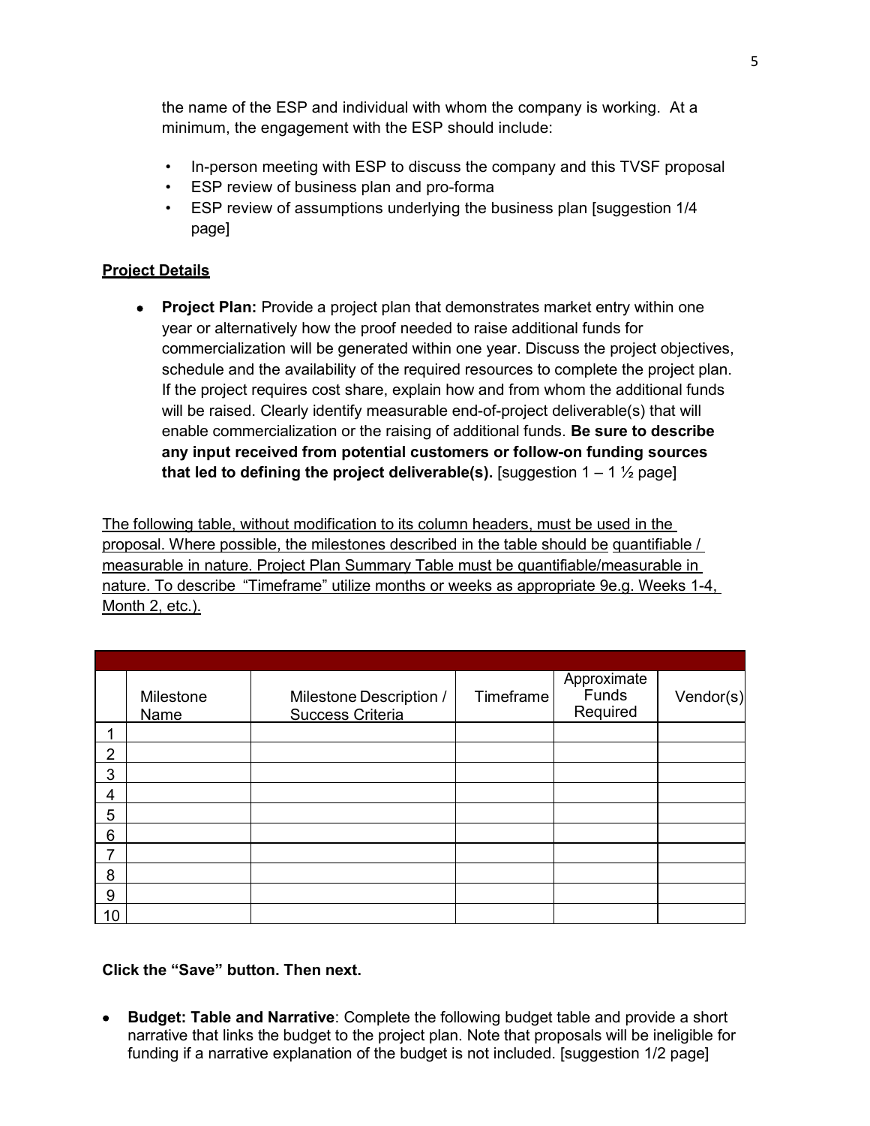the name of the ESP and individual with whom the company is working. At a minimum, the engagement with the ESP should include:

- In-person meeting with ESP to discuss the company and this TVSF proposal
- ESP review of business plan and pro-forma
- ESP review of assumptions underlying the business plan [suggestion 1/4 page]

# **Project Details**

• **Project Plan:** Provide a project plan that demonstrates market entry within one year or alternatively how the proof needed to raise additional funds for commercialization will be generated within one year. Discuss the project objectives, schedule and the availability of the required resources to complete the project plan. If the project requires cost share, explain how and from whom the additional funds will be raised. Clearly identify measurable end-of-project deliverable(s) that will enable commercialization or the raising of additional funds. **Be sure to describe any input received from potential customers or follow-on funding sources that led to defining the project deliverable(s).** [suggestion  $1 - 1\frac{1}{2}$  page]

The following table, without modification to its column headers, must be used in the proposal. Where possible, the milestones described in the table should be quantifiable / measurable in nature. Project Plan Summary Table must be quantifiable/measurable in nature. To describe "Timeframe" utilize months or weeks as appropriate 9e.g. Weeks 1-4, Month 2, etc.).

|    | Milestone<br><b>Name</b> | Milestone Description /<br><b>Success Criteria</b> | Timeframe | Approximate<br>Funds<br>Required | $V$ endor $(s)$ |
|----|--------------------------|----------------------------------------------------|-----------|----------------------------------|-----------------|
|    |                          |                                                    |           |                                  |                 |
| 2  |                          |                                                    |           |                                  |                 |
| 3  |                          |                                                    |           |                                  |                 |
| 4  |                          |                                                    |           |                                  |                 |
| 5  |                          |                                                    |           |                                  |                 |
| 6  |                          |                                                    |           |                                  |                 |
| 7  |                          |                                                    |           |                                  |                 |
| 8  |                          |                                                    |           |                                  |                 |
| 9  |                          |                                                    |           |                                  |                 |
| 10 |                          |                                                    |           |                                  |                 |

# **Click the "Save" button. Then next.**

• **Budget: Table and Narrative**: Complete the following budget table and provide a short narrative that links the budget to the project plan. Note that proposals will be ineligible for funding if a narrative explanation of the budget is not included. [suggestion 1/2 page]